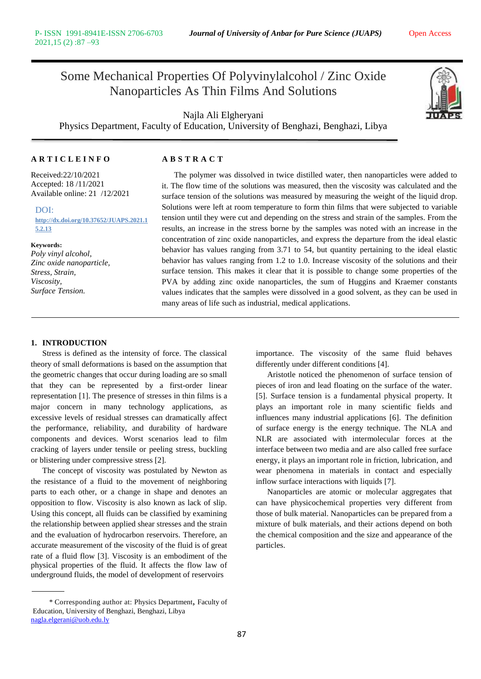## Some Mechanical Properties Of Polyvinylalcohol / Zinc Oxide Nanoparticles As Thin Films And Solutions

Najla Ali Elgheryani Physics Department, Faculty of Education, University of Benghazi, Benghazi, Libya



### **A R T I C L E I N F O A B S T R A C T**

Received:22/10/2021 Accepted: 18 /11/2021 Available online: 21 /12/2021

DOI: **[http://dx.doi.org/10.37652/JUAPS.2021.1](http://dx.doi.org/10.37652/JUAPS.2021.15.2.13) [5.2.13](http://dx.doi.org/10.37652/JUAPS.2021.15.2.13)**

### **Keywords:**

*Poly vinyl alcohol, Zinc oxide nanoparticle, Stress, Strain, Viscosity, Surface Tension.*

The polymer was dissolved in twice distilled water, then nanoparticles were added to it. The flow time of the solutions was measured, then the viscosity was calculated and the surface tension of the solutions was measured by measuring the weight of the liquid drop. Solutions were left at room temperature to form thin films that were subjected to variable tension until they were cut and depending on the stress and strain of the samples. From the results, an increase in the stress borne by the samples was noted with an increase in the concentration of zinc oxide nanoparticles, and express the departure from the ideal elastic behavior has values ranging from 3.71 to 54, but quantity pertaining to the ideal elastic behavior has values ranging from 1.2 to 1.0. Increase viscosity of the solutions and their surface tension. This makes it clear that it is possible to change some properties of the PVA by adding zinc oxide nanoparticles, the sum of Huggins and Kraemer constants values indicates that the samples were dissolved in a good solvent, as they can be used in many areas of life such as industrial, medical applications.

### **1. INTRODUCTION**

Stress is defined as the intensity of force. The classical theory of small deformations is based on the assumption that the geometric changes that occur during loading are so small that they can be represented by a first-order linear representation [1]. The presence of stresses in thin films is a major concern in many technology applications, as excessive levels of residual stresses can dramatically affect the performance, reliability, and durability of hardware components and devices. Worst scenarios lead to film cracking of layers under tensile or peeling stress, buckling or blistering under compressive stress [2].

The concept of viscosity was postulated by Newton as the resistance of a fluid to the movement of neighboring parts to each other, or a change in shape and denotes an opposition to flow. Viscosity is also known as lack of slip. Using this concept, all fluids can be classified by examining the relationship between applied shear stresses and the strain and the evaluation of hydrocarbon reservoirs. Therefore, an accurate measurement of the viscosity of the fluid is of great rate of a fluid flow [3]. Viscosity is an embodiment of the physical properties of the fluid. It affects the flow law of underground fluids, the model of development of reservoirs

 \* Corresponding author at: Physics Department, Faculty of Education, University of Benghazi, Benghazi, Libya [nagla.elgerani@uob.edu.ly](mailto:nagla.elgerani@uob.edu.ly)

importance. The viscosity of the same fluid behaves differently under different conditions [4].

Aristotle noticed the phenomenon of surface tension of pieces of iron and lead floating on the surface of the water. [5]. Surface tension is a fundamental physical property. It plays an important role in many scientific fields and influences many industrial applications [6]. The definition of surface energy is the energy technique. The NLA and NLR are associated with intermolecular forces at the interface between two media and are also called free surface energy, it plays an important role in friction, lubrication, and wear phenomena in materials in contact and especially inflow surface interactions with liquids [7].

Nanoparticles are atomic or molecular aggregates that can have physicochemical properties very different from those of bulk material. Nanoparticles can be prepared from a mixture of bulk materials, and their actions depend on both the chemical composition and the size and appearance of the particles.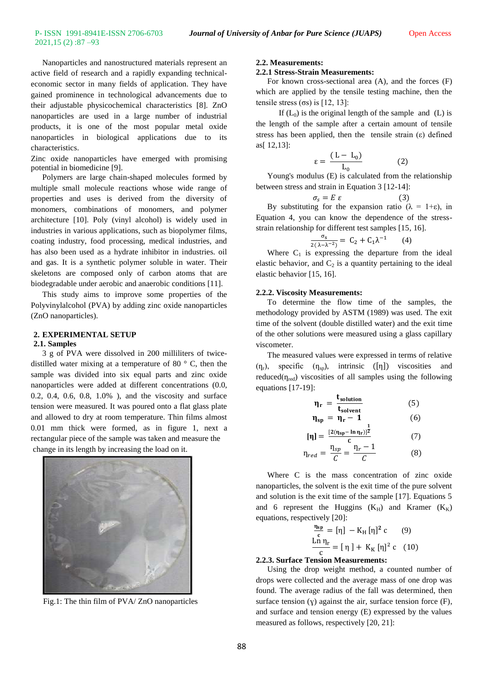Nanoparticles and nanostructured materials represent an active field of research and a rapidly expanding technicaleconomic sector in many fields of application. They have gained prominence in technological advancements due to their adjustable physicochemical characteristics [8]. ZnO nanoparticles are used in a large number of industrial products, it is one of the most popular metal oxide nanoparticles in biological applications due to its characteristics.

Zinc oxide nanoparticles have emerged with promising potential in biomedicine [9].

Polymers are large chain-shaped molecules formed by multiple small molecule reactions whose wide range of properties and uses is derived from the diversity of monomers, combinations of monomers, and polymer architecture [10]. Poly (vinyl alcohol) is widely used in industries in various applications, such as biopolymer films, coating industry, food processing, medical industries, and has also been used as a hydrate inhibitor in industries. oil and gas. It is a synthetic polymer soluble in water. Their skeletons are composed only of carbon atoms that are biodegradable under aerobic and anaerobic conditions [11].

This study aims to improve some properties of the Polyvinylalcohol (PVA) by adding zinc oxide nanoparticles (ZnO nanoparticles).

### **2. EXPERIMENTAL SETUP 2.1. Samples**

3 g of PVA were dissolved in 200 milliliters of twicedistilled water mixing at a temperature of 80 ° C, then the sample was divided into six equal parts and zinc oxide nanoparticles were added at different concentrations (0.0, 0.2, 0.4, 0.6, 0.8, 1.0% ), and the viscosity and surface tension were measured. It was poured onto a flat glass plate and allowed to dry at room temperature. Thin films almost 0.01 mm thick were formed, as in figure 1, next a rectangular piece of the sample was taken and measure the change in its length by increasing the load on it.



Fig.1: The thin film of PVA/ ZnO nanoparticles

### **2.2. Measurements:**

### **2.2.1 Stress-Strain Measurements:**

For known cross-sectional area (A), and the forces (F) which are applied by the tensile testing machine, then the tensile stress  $( \sigma s)$  is [12, 13]:

If  $(L_0)$  is the original length of the sample and  $(L)$  is the length of the sample after a certain amount of tensile stress has been applied, then the tensile strain  $(\varepsilon)$  defined as[ 12,13]:

$$
\varepsilon = \frac{(L - L_0)}{L_0} \tag{2}
$$

Young's modulus (E) is calculated from the relationship between stress and strain in Equation 3 [12-14]:

$$
\sigma_s = E \varepsilon
$$
 (3)  
By substituting for the expansion ratio ( $\lambda = 1+\varepsilon$ ), in

Equation 4, you can know the dependence of the stressstrain relationship for different test samples [15, 16].

$$
\frac{\sigma_s}{2(\lambda - \lambda^{-2})} = C_2 + C_1 \lambda^{-1} \qquad (4)
$$

Where  $C_1$  is expressing the departure from the ideal elastic behavior, and  $C_2$  is a quantity pertaining to the ideal elastic behavior [15, 16].

### **2.2.2. Viscosity Measurements:**

To determine the flow time of the samples, the methodology provided by ASTM (1989) was used. The exit time of the solvent (double distilled water) and the exit time of the other solutions were measured using a glass capillary viscometer.

The measured values were expressed in terms of relative  $(\eta_r)$ , specific  $(\eta_{sp})$ , intrinsic  $([\eta])$  viscosities and reduced( $\eta_{\text{red}}$ ) viscosities of all samples using the following equations [17-19]:

$$
\eta_r = \frac{t_{solution}}{t_{solution}}
$$
(5)  
\n
$$
\eta_{sp} = \eta_r - 1
$$
(6)  
\n
$$
[\eta] = \frac{[2(\eta_{sp} - \ln \eta_r)]^{\frac{1}{2}}}{c}
$$
(7)  
\n
$$
\eta_{red} = \frac{\eta_{sp}}{C} = \frac{\eta_r - 1}{C}
$$
(8)

Where C is the mass concentration of zinc oxide nanoparticles, the solvent is the exit time of the pure solvent and solution is the exit time of the sample [17]. Equations 5 and 6 represent the Huggins  $(K_H)$  and Kramer  $(K_K)$ equations, respectively [20]:

$$
\frac{\frac{\eta_{sp}}{c}}{\frac{\text{Ln } \eta_r}{c}} = [\eta] - K_H [\eta]^2 c \qquad (9)
$$
  

$$
\frac{\text{Ln } \eta_r}{c} = [\eta] + K_K [\eta]^2 c \quad (10)
$$

### **2.2.3. Surface Tension Measurements:**

Using the drop weight method, a counted number of drops were collected and the average mass of one drop was found. The average radius of the fall was determined, then surface tension  $(y)$  against the air, surface tension force  $(F)$ , and surface and tension energy (E) expressed by the values measured as follows, respectively [20, 21]: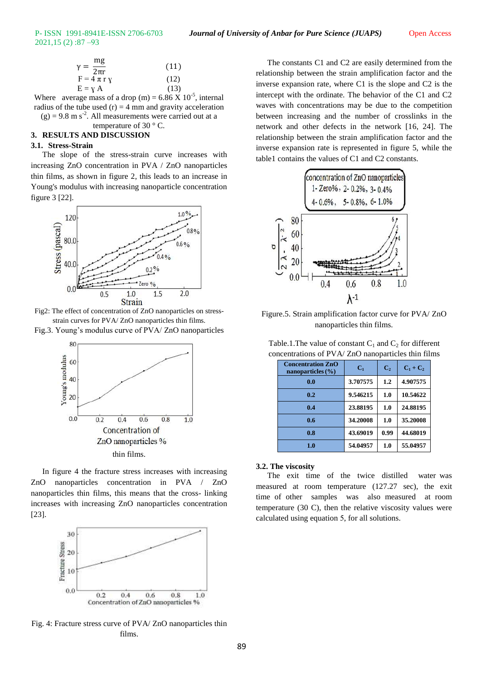# 2021,15 (2) :87 –93

| mg<br>$\gamma =$                      | (11) |
|---------------------------------------|------|
| $2\overline{\pi}r$<br>$F = 4 \pi r y$ | (12) |
| $E = Y A$                             | (13) |

Where average mass of a drop (m) =  $6.86 \text{ X } 10^{-5}$ , internal radius of the tube used  $(r) = 4$  mm and gravity acceleration  $(g) = 9.8$  m s<sup>-2</sup>. All measurements were carried out at a

## temperature of 30 ° C.

### **3. RESULTS AND DISCUSSION**

### **3.1. Stress-Strain**

The slope of the stress-strain curve increases with increasing ZnO concentration in PVA / ZnO nanoparticles thin films, as shown in figure 2, this leads to an increase in Young's modulus with increasing nanoparticle concentration figure 3 [22].



Fig2: The effect of concentration of ZnO nanoparticles on stressstrain curves for PVA/ ZnO nanoparticles thin films.

Fig.3. Young's modulus curve of PVA/ ZnO nanoparticles



In figure 4 the fracture stress increases with increasing ZnO nanoparticles concentration in PVA / ZnO nanoparticles thin films, this means that the cross- linking increases with increasing ZnO nanoparticles concentration [23].



Fig. 4: Fracture stress curve of PVA/ ZnO nanoparticles thin films.

The constants C1 and C2 are easily determined from the relationship between the strain amplification factor and the inverse expansion rate, where C1 is the slope and C2 is the intercept with the ordinate. The behavior of the C1 and C2 waves with concentrations may be due to the competition between increasing and the number of crosslinks in the network and other defects in the network [16, 24]. The relationship between the strain amplification factor and the inverse expansion rate is represented in figure 5, while the table1 contains the values of C1 and C2 constants.



Figure.5. Strain amplification factor curve for PVA/ ZnO nanoparticles thin films.

Table.1. The value of constant  $C_1$  and  $C_2$  for different concentrations of PVA/ ZnO nanoparticles thin films

| <b>Concentration ZnO</b><br>nanoparticles $(\% )$ | C <sub>1</sub> | C <sub>2</sub> | $C_1 + C_2$ |
|---------------------------------------------------|----------------|----------------|-------------|
| 0.0                                               | 3.707575       | 1.2            | 4.907575    |
| 0.2                                               | 9.546215       | 1.0            | 10.54622    |
| 0.4                                               | 23.88195       | 1.0            | 24.88195    |
| 0.6                                               | 34.20008       | 1.0            | 35.20008    |
| 0.8                                               | 43.69019       | 0.99           | 44.68019    |
| 1.0                                               | 54.04957       | 1.0            | 55.04957    |

#### **3.2. The viscosity**

The exit time of the twice distilled water was measured at room temperature (127.27 sec), the exit time of other samples was also measured at room temperature (30 C), then the relative viscosity values were calculated using equation 5, for all solutions.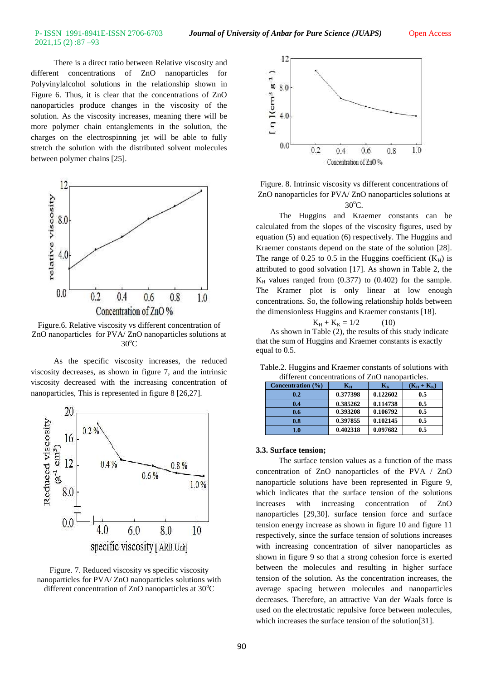## 2021,15 (2) :87 –93

There is a direct ratio between Relative viscosity and different concentrations of ZnO nanoparticles for Polyvinylalcohol solutions in the relationship shown in Figure 6. Thus, it is clear that the concentrations of ZnO nanoparticles produce changes in the viscosity of the solution. As the viscosity increases, meaning there will be more polymer chain entanglements in the solution, the charges on the electrospinning jet will be able to fully stretch the solution with the distributed solvent molecules between polymer chains [25].



Figure.6. Relative viscosity vs different concentration of ZnO nanoparticles for PVA/ ZnO nanoparticles solutions at  $30^{\circ}$ C

As the specific viscosity increases, the reduced viscosity decreases, as shown in figure 7, and the intrinsic viscosity decreased with the increasing concentration of nanoparticles, This is represented in figure 8 [26,27].



Figure. 7. Reduced viscosity vs specific viscosity nanoparticles for PVA/ ZnO nanoparticles solutions with different concentration of  $ZnO$  nanoparticles at  $30^{\circ}C$ 



Figure. 8. Intrinsic viscosity vs different concentrations of ZnO nanoparticles for PVA/ ZnO nanoparticles solutions at  $30^{\circ}$ C.

The Huggins and Kraemer constants can be calculated from the slopes of the viscosity figures, used by equation (5) and equation (6) respectively. The Huggins and Kraemer constants depend on the state of the solution [28]. The range of 0.25 to 0.5 in the Huggins coefficient  $(K_H)$  is attributed to good solvation [17]. As shown in Table 2, the  $K_H$  values ranged from  $(0.377)$  to  $(0.402)$  for the sample. The Kramer plot is only linear at low enough concentrations. So, the following relationship holds between the dimensionless Huggins and Kraemer constants [18].

$$
K_H + K_K = 1/2 \tag{10}
$$

 As shown in Table (2), the results of this study indicate that the sum of Huggins and Kraemer constants is exactly equal to 0.5.

| different concentrations of ZnO nanoparticles. |                   |          |               |  |
|------------------------------------------------|-------------------|----------|---------------|--|
| Concentration (%)                              | ${\bf K}_{\bf H}$ | $K_{K}$  | $(K_H + K_K)$ |  |
| 0.2                                            | 0.377398          | 0.122602 | 0.5           |  |
| 0.4                                            | 0.385262          | 0.114738 | 0.5           |  |
| 0.6                                            | 0.393208          | 0.106792 | 0.5           |  |
| 0.8                                            | 0.397855          | 0.102145 | 0.5           |  |
| $1.0\,$                                        | 0.402318          | 0.097682 | 0.5           |  |

Table.2. Huggins and Kraemer constants of solutions with different concentrations of ZnO nanoparticles.

### **3.3. Surface tension;**

The surface tension values as a function of the mass concentration of ZnO nanoparticles of the PVA / ZnO nanoparticle solutions have been represented in Figure 9, which indicates that the surface tension of the solutions increases with increasing concentration of ZnO nanoparticles [29,30]. surface tension force and surface tension energy increase as shown in figure 10 and figure 11 respectively, since the surface tension of solutions increases with increasing concentration of silver nanoparticles as shown in figure 9 so that a strong cohesion force is exerted between the molecules and resulting in higher surface tension of the solution. As the concentration increases, the average spacing between molecules and nanoparticles decreases. Therefore, an attractive Van der Waals force is used on the electrostatic repulsive force between molecules, which increases the surface tension of the solution<sup>[31]</sup>.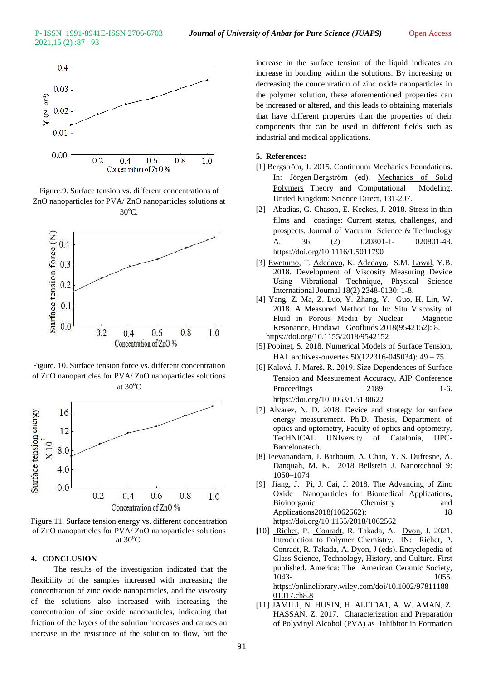

Figure.9. Surface tension vs. different concentrations of ZnO nanoparticles for PVA/ ZnO nanoparticles solutions at 30<sup>o</sup>C.



Figure. 10. Surface tension force vs. different concentration of ZnO nanoparticles for PVA/ ZnO nanoparticles solutions at  $30^{\circ}$ C



Figure.11. Surface tension energy vs. different concentration of ZnO nanoparticles for PVA/ ZnO nanoparticles solutions at  $30^{\circ}$ C.

### **4. CONCLUSION**

The results of the investigation indicated that the flexibility of the samples increased with increasing the concentration of zinc oxide nanoparticles, and the viscosity of the solutions also increased with increasing the concentration of zinc oxide nanoparticles, indicating that friction of the layers of the solution increases and causes an increase in the resistance of the solution to flow, but the

increase in the surface tension of the liquid indicates an increase in bonding within the solutions. By increasing or decreasing the concentration of zinc oxide nanoparticles in the polymer solution, these aforementioned properties can be increased or altered, and this leads to obtaining materials that have different properties than the properties of their components that can be used in different fields such as industrial and medical applications.

### **5. References:**

- [1] Bergström, J. 2015. Continuum Mechanics Foundations. In: Jörgen Bergström (ed), [Mechanics of Solid](https://www.sciencedirect.com/science/book/9780323311502)  [Polymers](https://www.sciencedirect.com/science/book/9780323311502) Theory and Computational Modeling. United Kingdom: [Science Direct,](https://www.elsevier.com/solutions/sciencedirect) 131-207.
- [2] Abadias, G. Chason, E. Keckes, J. 2018. Stress in thin films and coatings: Current status, challenges, and prospects, Journal of Vacuum Science & Technology A. 36 (2) 020801-1- 020801-48. https://doi.org/10.1116/1.5011790
- [3] [Ewetumo,](https://www.researchgate.net/profile/Theophilus-Ewetumo) T. [Adedayo,](https://www.researchgate.net/profile/Kayode-Adedayo) K. [Adedayo,](https://www.researchgate.net/profile/Kayode-Adedayo) S.M. [Lawal,](https://www.researchgate.net/profile/Yusuf-Lawal-5) Y.B. 2018. Development of Viscosity Measuring Device Using Vibrational Technique, Physical Science International Journal 18(2) 2348-0130: 1-8.
- [4] Yang, Z. Ma, Z. Luo, Y. Zhang, Y. Guo, H. Lin, W. 2018. A Measured Method for In: Situ Viscosity of Fluid in Porous Media by Nuclear Magnetic Resonance, Hindawi Geofluids 2018(9542152): 8. https://doi.org/10.1155/2018/9542152
- [5] Popinet, S. 2018. Numerical Models of Surface Tension, HAL archives-ouvertes 50(122316-045034): 49 – 75.
- [6] Kalová, J. Mareš, R. 2019. Size Dependences of Surface Tension and Measurement Accuracy, AIP Conference Proceedings 2189: 1-6. <https://doi.org/10.1063/1.5138622>
- [7] Alvarez, N. D. 2018. Device and strategy for surface energy measurement. Ph.D. Thesis, Department of optics and optometry, Faculty of optics and optometry, TecHNICAL UNIversity of Catalonia, UPC-Barcelonatech.
- [8] Jeevanandam, J. Barhoum, A. Chan, Y. S. Dufresne, A. Danquah, M. K. 2018 Beilstein J. Nanotechnol 9: 1050–1074
- [9] [Jiang,](https://www.researchgate.net/scientific-contributions/Jinhuan-Jiang-71249967) J. [Pi,](https://www.researchgate.net/profile/Jiang-Pi-3) J. [Cai,](https://www.researchgate.net/scientific-contributions/Jiye-Cai-38170244) J. 2018. The Advancing of Zinc Oxide Nanoparticles for Biomedical Applications, Bioinorganic Chemistry and Applications2018(1062562): 18 https://doi.org/10.1155/2018/1062562
- **[**10] [Richet,](https://onlinelibrary.wiley.com/action/doSearch?ContribAuthorRaw=Richet%2C+Pascal) P. [Conradt,](https://onlinelibrary.wiley.com/action/doSearch?ContribAuthorRaw=Conradt%2C+Reinhard) R. Takada, A. [Dyon,](https://onlinelibrary.wiley.com/action/doSearch?ContribAuthorRaw=Dyon%2C+Jo%C3%ABl) J. 2021. Introduction to Polymer Chemistry. IN: [Richet,](https://onlinelibrary.wiley.com/action/doSearch?ContribAuthorRaw=Richet%2C+Pascal) P. [Conradt,](https://onlinelibrary.wiley.com/action/doSearch?ContribAuthorRaw=Conradt%2C+Reinhard) R. Takada, A. [Dyon,](https://onlinelibrary.wiley.com/action/doSearch?ContribAuthorRaw=Dyon%2C+Jo%C3%ABl) J (eds). Encyclopedia of Glass Science, Technology, History, and Culture. First published. America: The American Ceramic Society, 1043- 1055. [https://onlinelibrary.wiley.com/doi/10.1002/97811188](https://onlinelibrary.wiley.com/doi/10.1002/9781118801017.ch8.8) [01017.ch8.8](https://onlinelibrary.wiley.com/doi/10.1002/9781118801017.ch8.8)
- [11] JAMIL1, N. HUSIN, H. ALFIDA1, A. W. AMAN, Z. HASSAN, Z. 2017. Characterization and Preparation of Polyvinyl Alcohol (PVA) as Inhibitor in Formation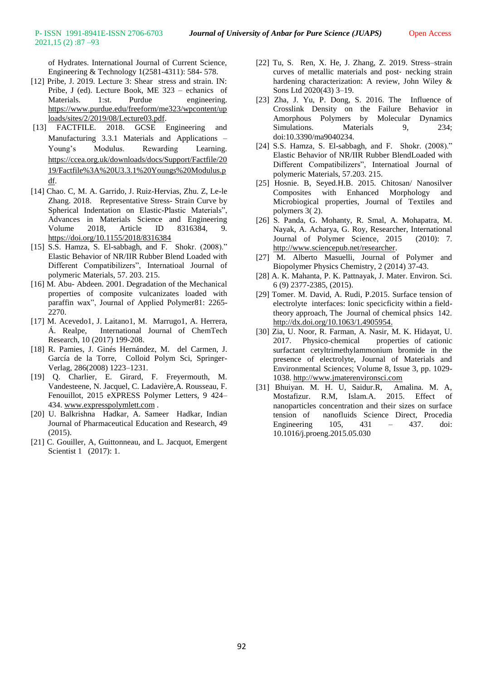of Hydrates. International Journal of Current Science, Engineering & Technology 1(2581-4311): 584- 578.

- [12] Pribe, J. 2019. Lecture 3: Shear stress and strain. IN: Pribe, J (ed). Lecture Book, ME 323 – echanics of Materials. 1:st. Purdue engineering. [https://www.purdue.edu/freeform/me323/wpcontent/up](https://www.purdue.edu/freeform/me323/wpcontent/uploads/sites/2/2019/08/Lecture03.pdf) [loads/sites/2/2019/08/Lecture03.pdf.](https://www.purdue.edu/freeform/me323/wpcontent/uploads/sites/2/2019/08/Lecture03.pdf)
- [13] FACTFILE. 2018. GCSE Engineering and Manufacturing 3.3.1 Materials and Applications – Young's Modulus. Rewarding Learning. [https://ccea.org.uk/downloads/docs/Support/Factfile/20](https://ccea.org.uk/downloads/docs/Support/Factfile/2019/Factfile%3A%20U3.3.1%20Youngs%20Modulus.pdf) [19/Factfile%3A%20U3.3.1%20Youngs%20Modulus.p](https://ccea.org.uk/downloads/docs/Support/Factfile/2019/Factfile%3A%20U3.3.1%20Youngs%20Modulus.pdf) [df.](https://ccea.org.uk/downloads/docs/Support/Factfile/2019/Factfile%3A%20U3.3.1%20Youngs%20Modulus.pdf)
- [14] Chao. C, M. A. Garrido, J. Ruiz-Hervias, Zhu. Z, Le-le Zhang. 2018.Representative Stress- Strain Curve by Spherical Indentation on Elastic-Plastic Materials", Advances in Materials Science and Engineering Volume 2018, Article ID 8316384, 9. <https://doi.org/10.1155/2018/8316384>
- [15] S.S. Hamza, S. El-sabbagh, and F. Shokr. (2008)." Elastic Behavior of NR/IIR Rubber Blend Loaded with Different Compatibilizers", Internatioal Journal of polymeric Materials, 57. 203. 215.
- [16] M. Abu- Abdeen. 2001. Degradation of the Mechanical properties of composite vulcanizates loaded with paraffin wax", Journal of Applied Polymer81: 2265- 2270.
- [17] M. Acevedo1, J. Laitano1, M. Marrugo1, A. Herrera, Á. Realpe, International Journal of ChemTech Research, 10 (2017) 199-208.
- [18] R. Pamies, J. Ginés Hernández, M. del Carmen, J. García de la Torre, Colloid Polym Sci, Springer-Verlag, 286(2008) 1223–1231.
- [19] Q. Charlier, E. Girard, F. Freyermouth, M. Vandesteene, N. Jacquel, C. Ladavière,A. Rousseau, F. Fenouillot, 2015 eXPRESS Polymer Letters, 9 424– 434[. www.expresspolymlett.com](http://www.expresspolymlett.com/) .
- [20] U. Balkrishna Hadkar, A. Sameer Hadkar, Indian Journal of Pharmaceutical Education and Research, 49  $(2015)$
- [21] C. Gouiller, A, Guittonneau, and L. Jacquot, Emergent Scientist 1 (2017): 1.
- [22] Tu, S. Ren, X. He, J. Zhang, Z. 2019. Stress–strain curves of metallic materials and post‐ necking strain hardening characterization: A review, John Wiley & Sons Ltd 2020(43) 3–19.
- [23] Zha, J. Yu, P. Dong, S. 2016. The Influence of Crosslink Density on the Failure Behavior in Amorphous Polymers by Molecular Dynamics Simulations. Materials 9, 234; doi:10.3390/ma9040234.
- [24] S.S. Hamza, S. El-sabbagh, and F. Shokr. (2008)." Elastic Behavior of NR/IIR Rubber BlendLoaded with Different Compatibilizers", Internatioal Journal of polymeric Materials, 57.203. 215.
- [25] Hosnie. B, Seyed.H.B. 2015. Chitosan/ Nanosilver Composites with Enhanced Morphology and Microbiogical properties, Journal of Textiles and polymers 3( 2).
- [26] S. Panda, G. Mohanty, R. Smal, A. Mohapatra, M. Nayak, A. Acharya, G. Roy, Researcher, International Journal of Polymer Science, 2015 (2010): 7. [http://www.sciencepub.net/researcher.](http://www.sciencepub.net/researcher)
- [27] M. Alberto Masuelli, Journal of Polymer and Biopolymer Physics Chemistry, 2 (2014) 37-43.
- [28] A. K. Mahanta, P. K. Pattnayak, J. Mater. Environ. Sci. 6 (9) 2377-2385, (2015).
- [29] Tomer. M. David, A. Rudi, P.2015. Surface tension of electrolyte interfaces: Ionic specicficity within a fieldtheory approach, The Journal of chemical phsics 142. [http://dx.doi.org/10.1063/1.4905954.](http://dx.doi.org/10.1063/1.4905954)
- [30] Zia, U. Noor, R. Farman, A. Nasir, M. K. Hidayat, U. 2017. Physico-chemical properties of cationic surfactant cetyltrimethylammonium bromide in the presence of electrolyte, Journal of Materials and Environmental Sciences; Volume 8, Issue 3, pp. 1029- 1038. http://www.jmaterenvironsci.com
- [31] Bhuiyan. M. H. U, Saidur.R, Amalina. M. A, Mostafizur. R.M, Islam.A. 2015. Effect of nanoparticles concentration and their sizes on surface tension of nanofluids Science Direct, Procedia Engineering 105, 431 – 437. doi: 10.1016/j.proeng.2015.05.030